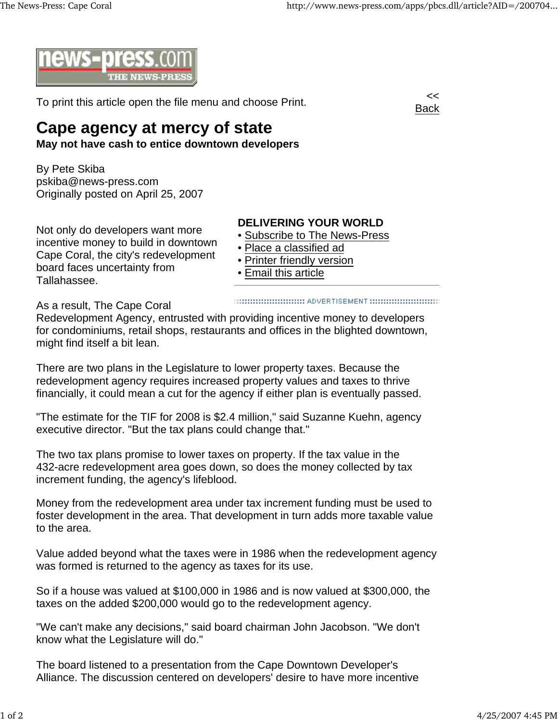

To print this article open the file menu and choose Print.



## **Cape agency at mercy of state**

**May not have cash to entice downtown developers**

By Pete Skiba pskiba@news-press.com Originally posted on April 25, 2007

Not only do developers want more incentive money to build in downtown Cape Coral, the city's redevelopment board faces uncertainty from Tallahassee.

## **DELIVERING YOUR WORLD**

- Subscribe to The News-Press
- Place a classified ad
- Printer friendly version
- Email this article

As a result, The Cape Coral

Redevelopment Agency, entrusted with providing incentive money to developers for condominiums, retail shops, restaurants and offices in the blighted downtown, might find itself a bit lean.

There are two plans in the Legislature to lower property taxes. Because the redevelopment agency requires increased property values and taxes to thrive financially, it could mean a cut for the agency if either plan is eventually passed.

"The estimate for the TIF for 2008 is \$2.4 million," said Suzanne Kuehn, agency executive director. "But the tax plans could change that."

The two tax plans promise to lower taxes on property. If the tax value in the 432-acre redevelopment area goes down, so does the money collected by tax increment funding, the agency's lifeblood.

Money from the redevelopment area under tax increment funding must be used to foster development in the area. That development in turn adds more taxable value to the area.

Value added beyond what the taxes were in 1986 when the redevelopment agency was formed is returned to the agency as taxes for its use.

So if a house was valued at \$100,000 in 1986 and is now valued at \$300,000, the taxes on the added \$200,000 would go to the redevelopment agency.

"We can't make any decisions," said board chairman John Jacobson. "We don't know what the Legislature will do."

The board listened to a presentation from the Cape Downtown Developer's Alliance. The discussion centered on developers' desire to have more incentive